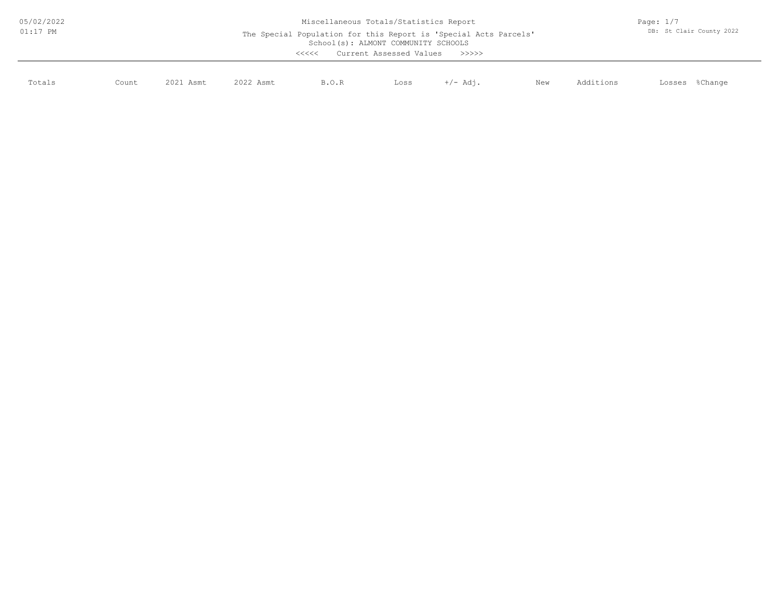| 05/02/2022<br>$01:17$ PM | Miscellaneous Totals/Statistics Report<br>The Special Population for this Report is 'Special Acts Parcels'<br>School(s): ALMONT COMMUNITY SCHOOLS<br>Current Assessed Values<br><<<<<br>>>>>>> |           |           |       |      |          |     |           | Page: $1/7$<br>DB: St Clair County 2022 |  |  |
|--------------------------|------------------------------------------------------------------------------------------------------------------------------------------------------------------------------------------------|-----------|-----------|-------|------|----------|-----|-----------|-----------------------------------------|--|--|
| Totals                   | Count                                                                                                                                                                                          | 2021 Asmt | 2022 Asmt | B.O.R | Loss | +/- Adi. | New | Additions | %Change<br>Losses                       |  |  |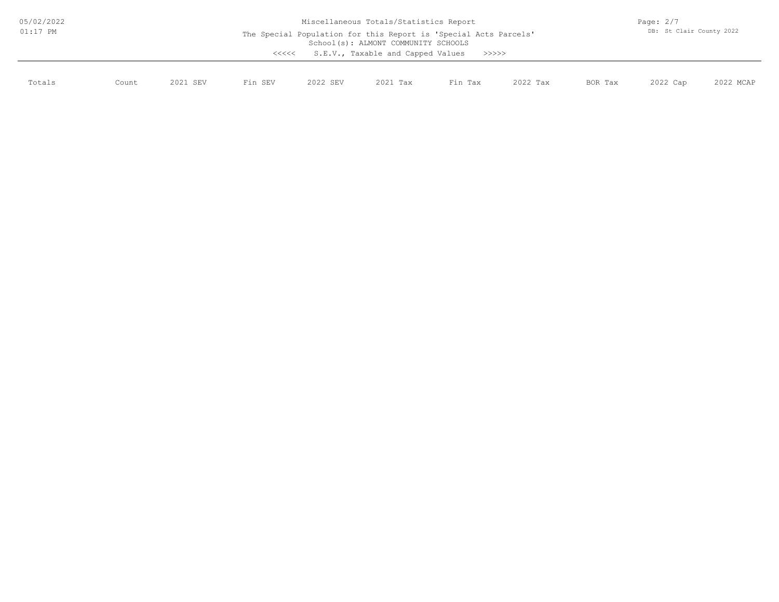| 05/02/2022<br>$01:17$ PM | Miscellaneous Totals/Statistics Report<br>The Special Population for this Report is 'Special Acts Parcels'<br>School(s): ALMONT COMMUNITY SCHOOLS<br>S.E.V., Taxable and Capped Values<br>>>>>>><br><<<< |          |         |          |          |         |          | Page: $2/7$<br>DB: St Clair County 2022 |          |           |
|--------------------------|----------------------------------------------------------------------------------------------------------------------------------------------------------------------------------------------------------|----------|---------|----------|----------|---------|----------|-----------------------------------------|----------|-----------|
| Totals                   | Count                                                                                                                                                                                                    | 2021 SEV | Fin SEV | 2022 SEV | 2021 Tax | Fin Tax | 2022 Tax | BOR Tax                                 | 2022 Cap | 2022 MCAP |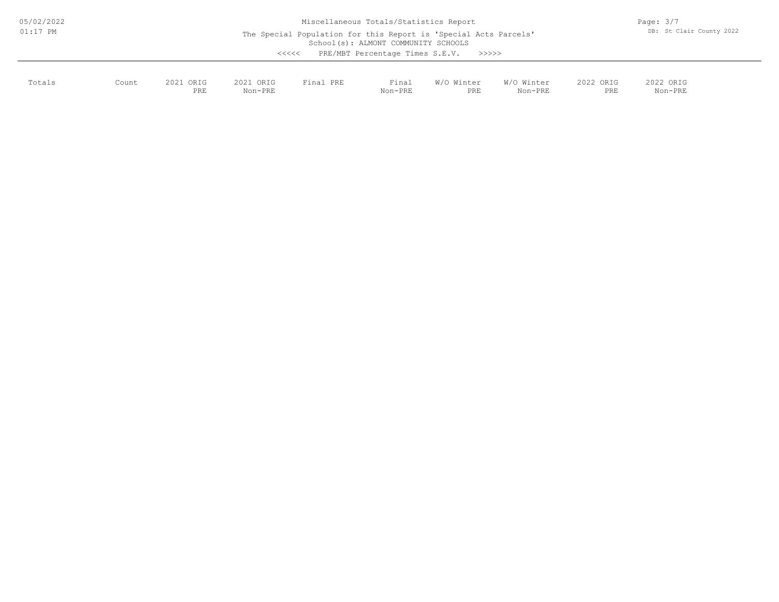| 05/02/2022 |  |  |  |  |  |  |
|------------|--|--|--|--|--|--|
| $01:17$ PM |  |  |  |  |  |  |

| Totals | Count | 2021<br>ORIG | 2021<br>ORIG | Final<br>PRE | Final   | W/O Winter | W/O Winter<br>the contract of the contract of the con- | 2022 ORIG | 2022<br>ORIG |
|--------|-------|--------------|--------------|--------------|---------|------------|--------------------------------------------------------|-----------|--------------|
|        |       | PRE          | Non-PRE      |              | Non-PRE | PRE        | Non-PRE                                                | PRE       | Non-PRE      |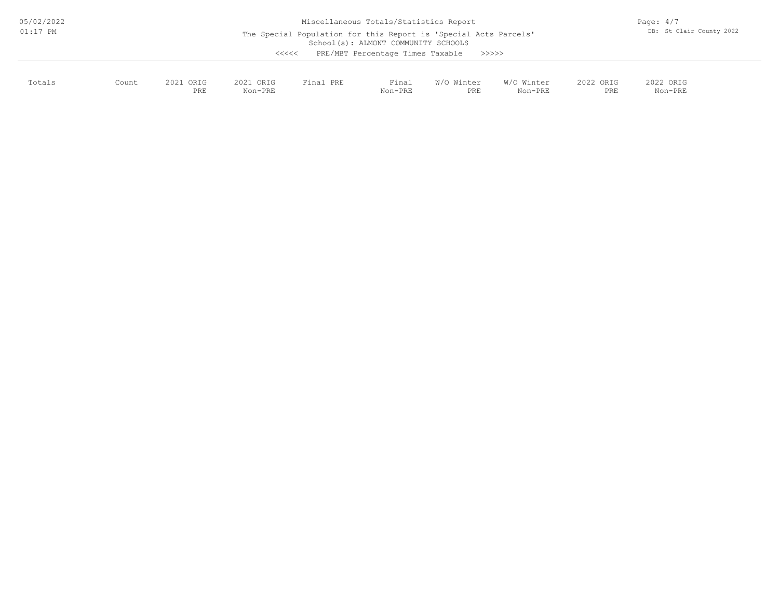| 05/02/2022<br>$01:17$ PM |       | Miscellaneous Totals/Statistics Report<br>The Special Population for this Report is 'Special Acts Parcels'<br>School(s): ALMONT COMMUNITY SCHOOLS<br>PRE/MBT Percentage Times Taxable<br>>>>>>><br>$\prec$ <<<< |                      |           |                  |                   |                       |                  | Page: $4/7$<br>DB: St Clair County 2022 |  |
|--------------------------|-------|-----------------------------------------------------------------------------------------------------------------------------------------------------------------------------------------------------------------|----------------------|-----------|------------------|-------------------|-----------------------|------------------|-----------------------------------------|--|
| Totals                   | Count | 2021 ORIG<br>PRE                                                                                                                                                                                                | 2021 ORIG<br>Non-PRE | Final PRE | Final<br>Non-PRE | W/O Winter<br>PRE | W/O Winter<br>Non-PRE | 2022 ORIG<br>PRE | 2022 ORIG<br>Non-PRE                    |  |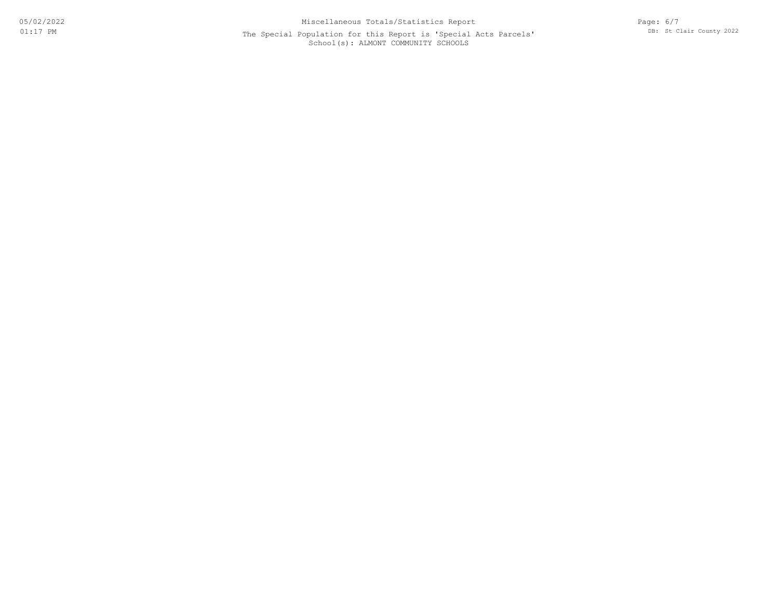## School(s): ALMONT COMMUNITY SCHOOLS The Special Population for this Report is 'Special Acts Parcels'